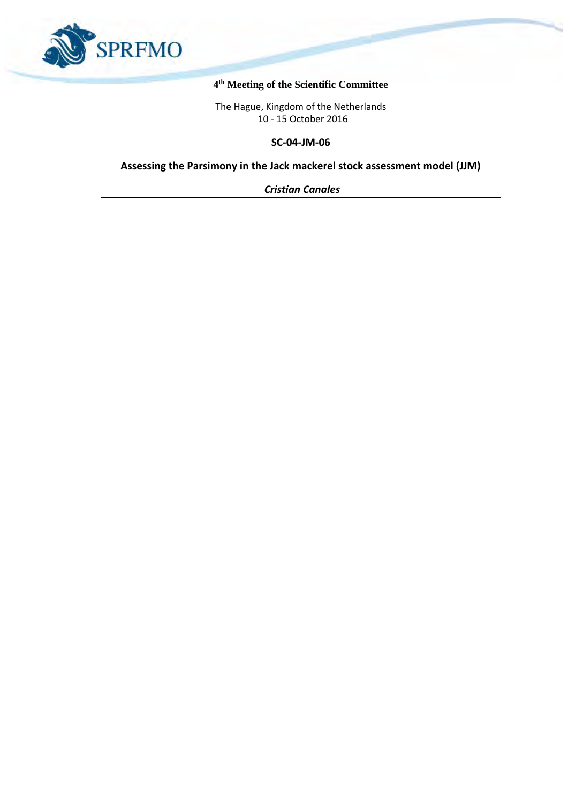

## **4 th Meeting of the Scientific Committee**

The Hague, Kingdom of the Netherlands 10 - 15 October 2016

**SC-04-JM-06**

**Assessing the Parsimony in the Jack mackerel stock assessment model (JJM)**

*Cristian Canales*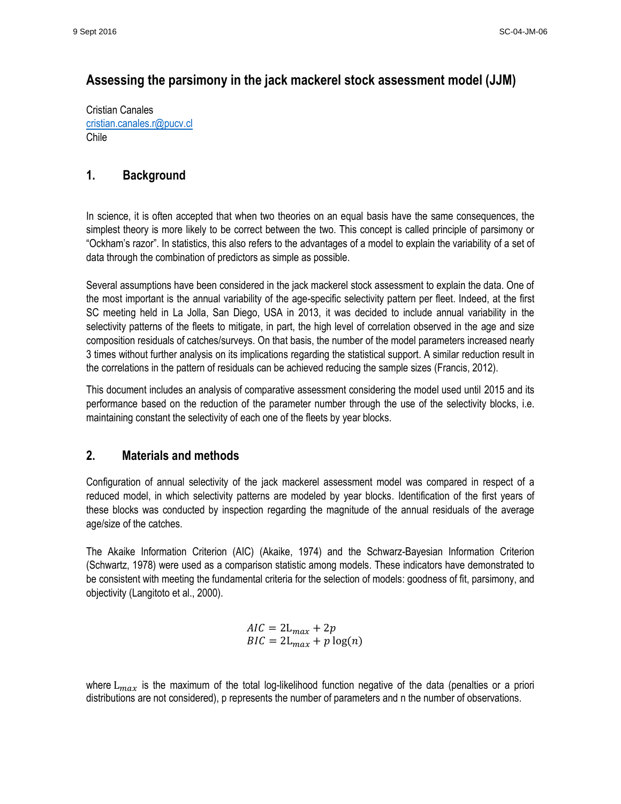# **Assessing the parsimony in the jack mackerel stock assessment model (JJM)**

Cristian Canales [cristian.canales.r@pucv.cl](mailto:cristian.canales.r@pucv.cl) Chile

# **1. Background**

In science, it is often accepted that when two theories on an equal basis have the same consequences, the simplest theory is more likely to be correct between the two. This concept is called principle of parsimony or "Ockham's razor". In statistics, this also refers to the advantages of a model to explain the variability of a set of data through the combination of predictors as simple as possible.

Several assumptions have been considered in the jack mackerel stock assessment to explain the data. One of the most important is the annual variability of the age-specific selectivity pattern per fleet. Indeed, at the first SC meeting held in La Jolla, San Diego, USA in 2013, it was decided to include annual variability in the selectivity patterns of the fleets to mitigate, in part, the high level of correlation observed in the age and size composition residuals of catches/surveys. On that basis, the number of the model parameters increased nearly 3 times without further analysis on its implications regarding the statistical support. A similar reduction result in the correlations in the pattern of residuals can be achieved reducing the sample sizes (Francis, 2012).

This document includes an analysis of comparative assessment considering the model used until 2015 and its performance based on the reduction of the parameter number through the use of the selectivity blocks, i.e. maintaining constant the selectivity of each one of the fleets by year blocks.

# **2. Materials and methods**

Configuration of annual selectivity of the jack mackerel assessment model was compared in respect of a reduced model, in which selectivity patterns are modeled by year blocks. Identification of the first years of these blocks was conducted by inspection regarding the magnitude of the annual residuals of the average age/size of the catches.

The Akaike Information Criterion (AIC) (Akaike, 1974) and the Schwarz-Bayesian Information Criterion (Schwartz, 1978) were used as a comparison statistic among models. These indicators have demonstrated to be consistent with meeting the fundamental criteria for the selection of models: goodness of fit, parsimony, and objectivity (Langitoto et al., 2000).

$$
AIC = 2L_{max} + 2p
$$
  

$$
BIC = 2L_{max} + p \log(n)
$$

where  $L_{max}$  is the maximum of the total log-likelihood function negative of the data (penalties or a priori distributions are not considered), p represents the number of parameters and n the number of observations.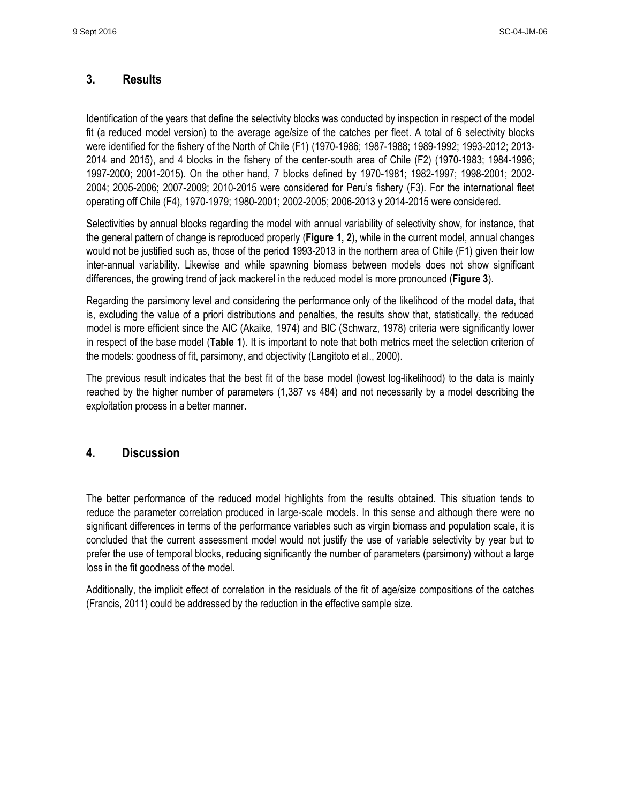## **3. Results**

Identification of the years that define the selectivity blocks was conducted by inspection in respect of the model fit (a reduced model version) to the average age/size of the catches per fleet. A total of 6 selectivity blocks were identified for the fishery of the North of Chile (F1) (1970-1986; 1987-1988; 1989-1992; 1993-2012; 2013- 2014 and 2015), and 4 blocks in the fishery of the center-south area of Chile (F2) (1970-1983; 1984-1996; 1997-2000; 2001-2015). On the other hand, 7 blocks defined by 1970-1981; 1982-1997; 1998-2001; 2002- 2004; 2005-2006; 2007-2009; 2010-2015 were considered for Peru's fishery (F3). For the international fleet operating off Chile (F4), 1970-1979; 1980-2001; 2002-2005; 2006-2013 y 2014-2015 were considered.

Selectivities by annual blocks regarding the model with annual variability of selectivity show, for instance, that the general pattern of change is reproduced properly (**Figure 1, 2**), while in the current model, annual changes would not be justified such as, those of the period 1993-2013 in the northern area of Chile (F1) given their low inter-annual variability. Likewise and while spawning biomass between models does not show significant differences, the growing trend of jack mackerel in the reduced model is more pronounced (**Figure 3**).

Regarding the parsimony level and considering the performance only of the likelihood of the model data, that is, excluding the value of a priori distributions and penalties, the results show that, statistically, the reduced model is more efficient since the AIC (Akaike, 1974) and BIC (Schwarz, 1978) criteria were significantly lower in respect of the base model (**Table 1**). It is important to note that both metrics meet the selection criterion of the models: goodness of fit, parsimony, and objectivity (Langitoto et al., 2000).

The previous result indicates that the best fit of the base model (lowest log-likelihood) to the data is mainly reached by the higher number of parameters (1,387 vs 484) and not necessarily by a model describing the exploitation process in a better manner.

## **4. Discussion**

The better performance of the reduced model highlights from the results obtained. This situation tends to reduce the parameter correlation produced in large-scale models. In this sense and although there were no significant differences in terms of the performance variables such as virgin biomass and population scale, it is concluded that the current assessment model would not justify the use of variable selectivity by year but to prefer the use of temporal blocks, reducing significantly the number of parameters (parsimony) without a large loss in the fit goodness of the model.

Additionally, the implicit effect of correlation in the residuals of the fit of age/size compositions of the catches (Francis, 2011) could be addressed by the reduction in the effective sample size.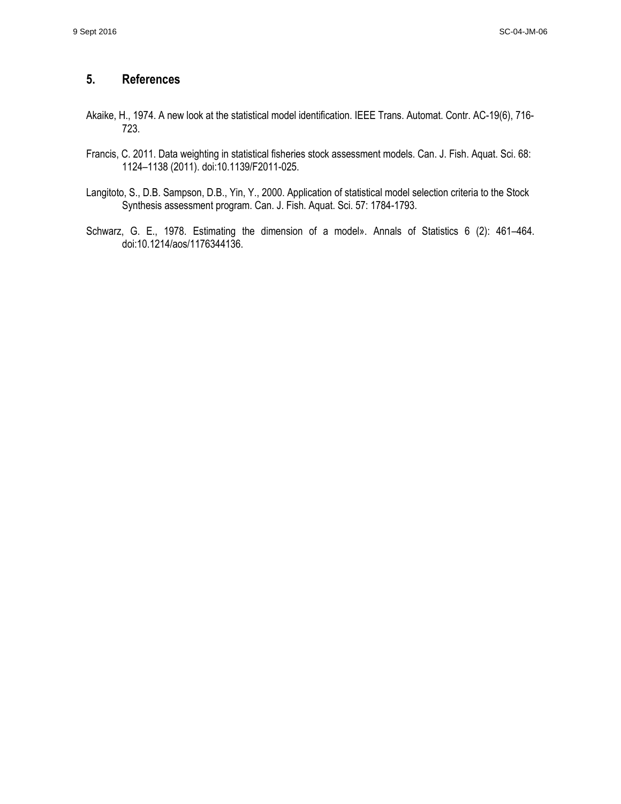# **5. References**

- Akaike, H., 1974. A new look at the statistical model identification. IEEE Trans. Automat. Contr. AC-19(6), 716- 723.
- Francis, C. 2011. Data weighting in statistical fisheries stock assessment models. Can. J. Fish. Aquat. Sci. 68: 1124–1138 (2011). doi:10.1139/F2011-025.
- Langitoto, S., D.B. Sampson, D.B., Yin, Y., 2000. Application of statistical model selection criteria to the Stock Synthesis assessment program. Can. J. Fish. Aquat. Sci. 57: 1784-1793.
- Schwarz, G. E., 1978. Estimating the dimension of a model». Annals of Statistics 6 (2): 461–464. doi:10.1214/aos/1176344136.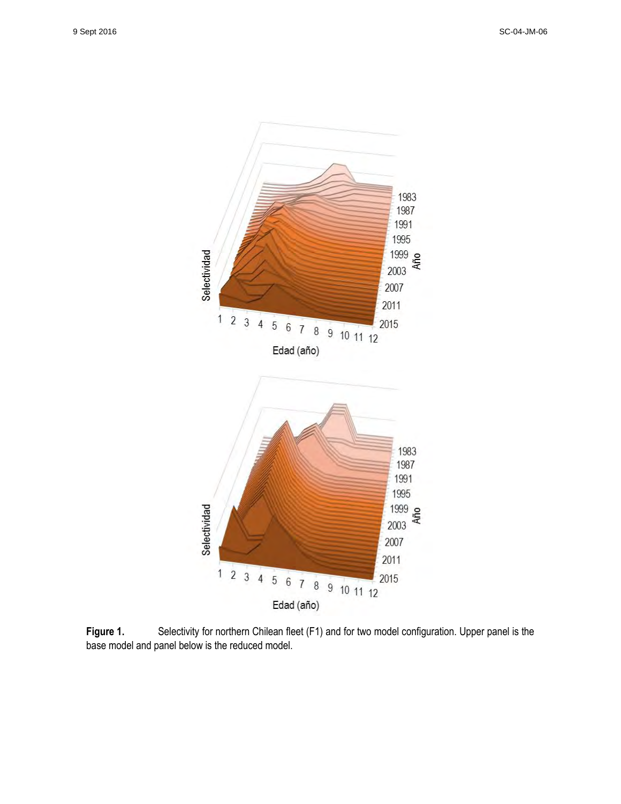

Figure 1. Selectivity for northern Chilean fleet (F1) and for two model configuration. Upper panel is the base model and panel below is the reduced model.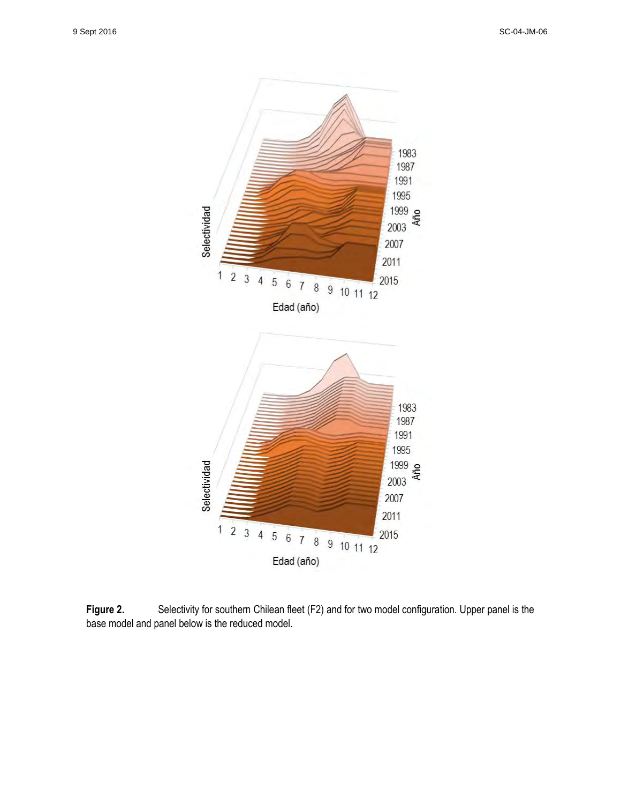

Figure 2. Selectivity for southern Chilean fleet (F2) and for two model configuration. Upper panel is the base model and panel below is the reduced model.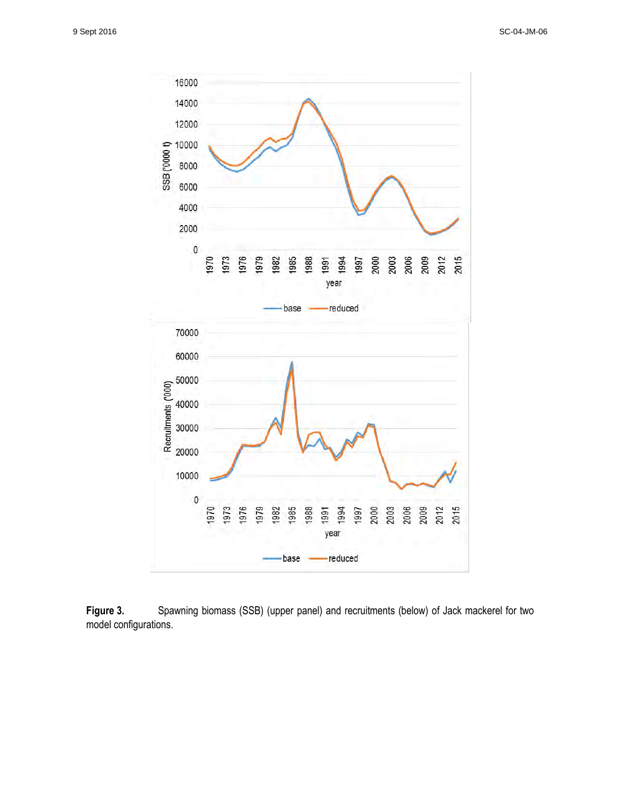

**Figure 3.** Spawning biomass (SSB) (upper panel) and recruitments (below) of Jack mackerel for two model configurations.